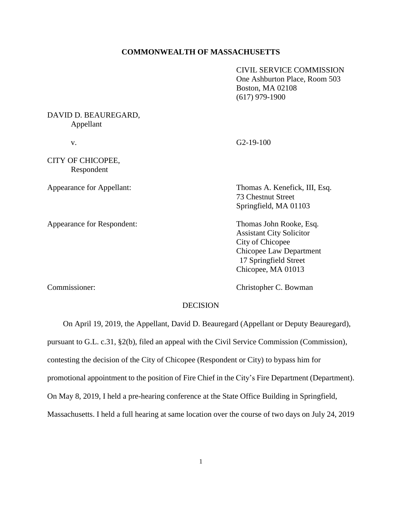### **COMMONWEALTH OF MASSACHUSETTS**

CIVIL SERVICE COMMISSION One Ashburton Place, Room 503 Boston, MA 02108 (617) 979-1900

DAVID D. BEAUREGARD, Appellant

CITY OF CHICOPEE, Respondent

Appearance for Respondent: Thomas John Rooke, Esq.

v. G2-19-100

Appearance for Appellant: Thomas A. Kenefick, III, Esq. 73 Chestnut Street Springfield, MA 01103

> Assistant City Solicitor City of Chicopee Chicopee Law Department 17 Springfield Street Chicopee, MA 01013

Commissioner: Christopher C. Bowman

#### **DECISION**

On April 19, 2019, the Appellant, David D. Beauregard (Appellant or Deputy Beauregard),

pursuant to G.L. c.31, §2(b), filed an appeal with the Civil Service Commission (Commission),

contesting the decision of the City of Chicopee (Respondent or City) to bypass him for

promotional appointment to the position of Fire Chief in the City's Fire Department (Department).

On May 8, 2019, I held a pre-hearing conference at the State Office Building in Springfield,

Massachusetts. I held a full hearing at same location over the course of two days on July 24, 2019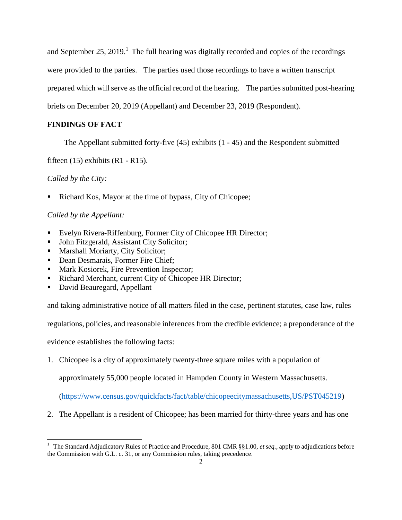and September 25, 2019.<sup>1</sup> The full hearing was digitally recorded and copies of the recordings were provided to the parties. The parties used those recordings to have a written transcript prepared which will serve as the official record of the hearing. The parties submitted post-hearing briefs on December 20, 2019 (Appellant) and December 23, 2019 (Respondent).

# **FINDINGS OF FACT**

The Appellant submitted forty-five (45) exhibits (1 - 45) and the Respondent submitted

fifteen  $(15)$  exhibits  $(R1 - R15)$ .

# *Called by the City:*

j.

Richard Kos, Mayor at the time of bypass, City of Chicopee;

# *Called by the Appellant:*

- Evelyn Rivera-Riffenburg, Former City of Chicopee HR Director;
- John Fitzgerald, Assistant City Solicitor;
- Marshall Moriarty, City Solicitor;
- Dean Desmarais, Former Fire Chief;
- Mark Kosiorek, Fire Prevention Inspector;
- Richard Merchant, current City of Chicopee HR Director;
- David Beauregard, Appellant

and taking administrative notice of all matters filed in the case, pertinent statutes, case law, rules

regulations, policies, and reasonable inferences from the credible evidence; a preponderance of the

evidence establishes the following facts:

1. Chicopee is a city of approximately twenty-three square miles with a population of

approximately 55,000 people located in Hampden County in Western Massachusetts.

[\(https://www.census.gov/quickfacts/fact/table/chicopeecitymassachusetts,US/PST045219\)](https://www.census.gov/quickfacts/fact/table/chicopeecitymassachusetts,US/PST045219)

2. The Appellant is a resident of Chicopee; has been married for thirty-three years and has one

<sup>&</sup>lt;sup>1</sup> The Standard Adjudicatory Rules of Practice and Procedure, 801 CMR §§1.00, *et seq.*, apply to adjudications before the Commission with G.L. c. 31, or any Commission rules, taking precedence.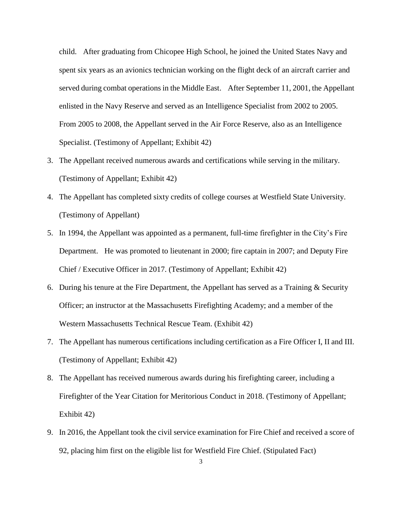child. After graduating from Chicopee High School, he joined the United States Navy and spent six years as an avionics technician working on the flight deck of an aircraft carrier and served during combat operations in the Middle East. After September 11, 2001, the Appellant enlisted in the Navy Reserve and served as an Intelligence Specialist from 2002 to 2005. From 2005 to 2008, the Appellant served in the Air Force Reserve, also as an Intelligence Specialist. (Testimony of Appellant; Exhibit 42)

- 3. The Appellant received numerous awards and certifications while serving in the military. (Testimony of Appellant; Exhibit 42)
- 4. The Appellant has completed sixty credits of college courses at Westfield State University. (Testimony of Appellant)
- 5. In 1994, the Appellant was appointed as a permanent, full-time firefighter in the City's Fire Department. He was promoted to lieutenant in 2000; fire captain in 2007; and Deputy Fire Chief / Executive Officer in 2017. (Testimony of Appellant; Exhibit 42)
- 6. During his tenure at the Fire Department, the Appellant has served as a Training & Security Officer; an instructor at the Massachusetts Firefighting Academy; and a member of the Western Massachusetts Technical Rescue Team. (Exhibit 42)
- 7. The Appellant has numerous certifications including certification as a Fire Officer I, II and III. (Testimony of Appellant; Exhibit 42)
- 8. The Appellant has received numerous awards during his firefighting career, including a Firefighter of the Year Citation for Meritorious Conduct in 2018. (Testimony of Appellant; Exhibit 42)
- 9. In 2016, the Appellant took the civil service examination for Fire Chief and received a score of 92, placing him first on the eligible list for Westfield Fire Chief. (Stipulated Fact)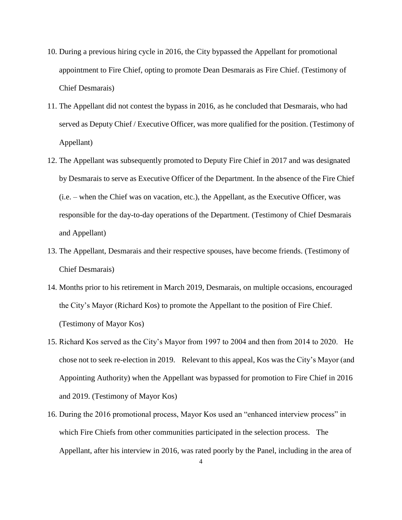- 10. During a previous hiring cycle in 2016, the City bypassed the Appellant for promotional appointment to Fire Chief, opting to promote Dean Desmarais as Fire Chief. (Testimony of Chief Desmarais)
- 11. The Appellant did not contest the bypass in 2016, as he concluded that Desmarais, who had served as Deputy Chief / Executive Officer, was more qualified for the position. (Testimony of Appellant)
- 12. The Appellant was subsequently promoted to Deputy Fire Chief in 2017 and was designated by Desmarais to serve as Executive Officer of the Department. In the absence of the Fire Chief (i.e. – when the Chief was on vacation, etc.), the Appellant, as the Executive Officer, was responsible for the day-to-day operations of the Department. (Testimony of Chief Desmarais and Appellant)
- 13. The Appellant, Desmarais and their respective spouses, have become friends. (Testimony of Chief Desmarais)
- 14. Months prior to his retirement in March 2019, Desmarais, on multiple occasions, encouraged the City's Mayor (Richard Kos) to promote the Appellant to the position of Fire Chief. (Testimony of Mayor Kos)
- 15. Richard Kos served as the City's Mayor from 1997 to 2004 and then from 2014 to 2020. He chose not to seek re-election in 2019. Relevant to this appeal, Kos was the City's Mayor (and Appointing Authority) when the Appellant was bypassed for promotion to Fire Chief in 2016 and 2019. (Testimony of Mayor Kos)
- 16. During the 2016 promotional process, Mayor Kos used an "enhanced interview process" in which Fire Chiefs from other communities participated in the selection process. The Appellant, after his interview in 2016, was rated poorly by the Panel, including in the area of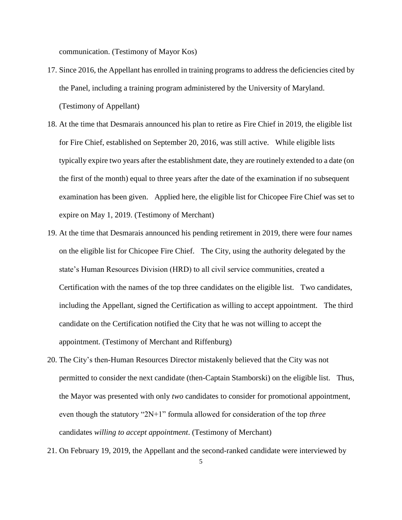communication. (Testimony of Mayor Kos)

- 17. Since 2016, the Appellant has enrolled in training programs to address the deficiencies cited by the Panel, including a training program administered by the University of Maryland. (Testimony of Appellant)
- 18. At the time that Desmarais announced his plan to retire as Fire Chief in 2019, the eligible list for Fire Chief, established on September 20, 2016, was still active. While eligible lists typically expire two years after the establishment date, they are routinely extended to a date (on the first of the month) equal to three years after the date of the examination if no subsequent examination has been given. Applied here, the eligible list for Chicopee Fire Chief was set to expire on May 1, 2019. (Testimony of Merchant)
- 19. At the time that Desmarais announced his pending retirement in 2019, there were four names on the eligible list for Chicopee Fire Chief. The City, using the authority delegated by the state's Human Resources Division (HRD) to all civil service communities, created a Certification with the names of the top three candidates on the eligible list. Two candidates, including the Appellant, signed the Certification as willing to accept appointment. The third candidate on the Certification notified the City that he was not willing to accept the appointment. (Testimony of Merchant and Riffenburg)
- 20. The City's then-Human Resources Director mistakenly believed that the City was not permitted to consider the next candidate (then-Captain Stamborski) on the eligible list. Thus, the Mayor was presented with only *two* candidates to consider for promotional appointment, even though the statutory "2N+1" formula allowed for consideration of the top *three* candidates *willing to accept appointment*. (Testimony of Merchant)
- 21. On February 19, 2019, the Appellant and the second-ranked candidate were interviewed by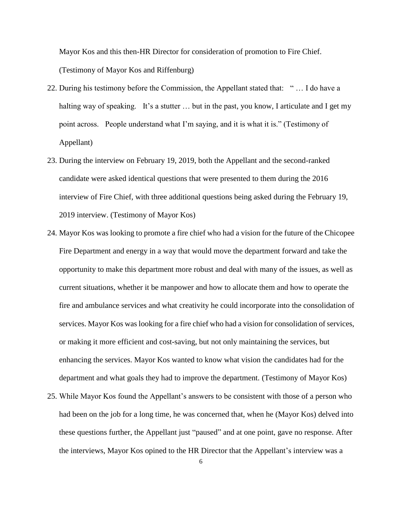Mayor Kos and this then-HR Director for consideration of promotion to Fire Chief. (Testimony of Mayor Kos and Riffenburg)

- 22. During his testimony before the Commission, the Appellant stated that: " … I do have a halting way of speaking. It's a stutter ... but in the past, you know, I articulate and I get my point across. People understand what I'm saying, and it is what it is." (Testimony of Appellant)
- 23. During the interview on February 19, 2019, both the Appellant and the second-ranked candidate were asked identical questions that were presented to them during the 2016 interview of Fire Chief, with three additional questions being asked during the February 19, 2019 interview. (Testimony of Mayor Kos)
- 24. Mayor Kos was looking to promote a fire chief who had a vision for the future of the Chicopee Fire Department and energy in a way that would move the department forward and take the opportunity to make this department more robust and deal with many of the issues, as well as current situations, whether it be manpower and how to allocate them and how to operate the fire and ambulance services and what creativity he could incorporate into the consolidation of services. Mayor Kos was looking for a fire chief who had a vision for consolidation of services, or making it more efficient and cost-saving, but not only maintaining the services, but enhancing the services. Mayor Kos wanted to know what vision the candidates had for the department and what goals they had to improve the department. (Testimony of Mayor Kos)
- 25. While Mayor Kos found the Appellant's answers to be consistent with those of a person who had been on the job for a long time, he was concerned that, when he (Mayor Kos) delved into these questions further, the Appellant just "paused" and at one point, gave no response. After the interviews, Mayor Kos opined to the HR Director that the Appellant's interview was a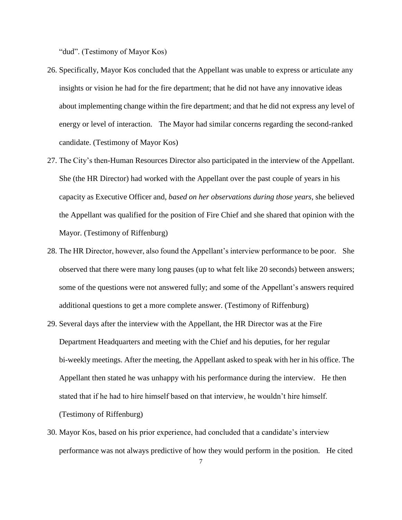"dud". (Testimony of Mayor Kos)

- 26. Specifically, Mayor Kos concluded that the Appellant was unable to express or articulate any insights or vision he had for the fire department; that he did not have any innovative ideas about implementing change within the fire department; and that he did not express any level of energy or level of interaction. The Mayor had similar concerns regarding the second-ranked candidate. (Testimony of Mayor Kos)
- 27. The City's then-Human Resources Director also participated in the interview of the Appellant. She (the HR Director) had worked with the Appellant over the past couple of years in his capacity as Executive Officer and, *based on her observations during those years*, she believed the Appellant was qualified for the position of Fire Chief and she shared that opinion with the Mayor. (Testimony of Riffenburg)
- 28. The HR Director, however, also found the Appellant's interview performance to be poor. She observed that there were many long pauses (up to what felt like 20 seconds) between answers; some of the questions were not answered fully; and some of the Appellant's answers required additional questions to get a more complete answer. (Testimony of Riffenburg)
- 29. Several days after the interview with the Appellant, the HR Director was at the Fire Department Headquarters and meeting with the Chief and his deputies, for her regular bi-weekly meetings. After the meeting, the Appellant asked to speak with her in his office. The Appellant then stated he was unhappy with his performance during the interview. He then stated that if he had to hire himself based on that interview, he wouldn't hire himself. (Testimony of Riffenburg)
- 30. Mayor Kos, based on his prior experience, had concluded that a candidate's interview performance was not always predictive of how they would perform in the position. He cited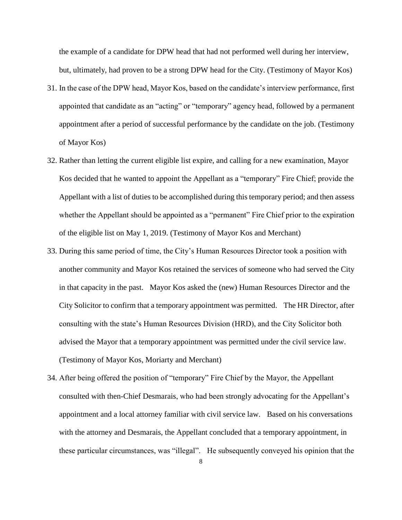the example of a candidate for DPW head that had not performed well during her interview, but, ultimately, had proven to be a strong DPW head for the City. (Testimony of Mayor Kos)

- 31. In the case of the DPW head, Mayor Kos, based on the candidate's interview performance, first appointed that candidate as an "acting" or "temporary" agency head, followed by a permanent appointment after a period of successful performance by the candidate on the job. (Testimony of Mayor Kos)
- 32. Rather than letting the current eligible list expire, and calling for a new examination, Mayor Kos decided that he wanted to appoint the Appellant as a "temporary" Fire Chief; provide the Appellant with a list of duties to be accomplished during this temporary period; and then assess whether the Appellant should be appointed as a "permanent" Fire Chief prior to the expiration of the eligible list on May 1, 2019. (Testimony of Mayor Kos and Merchant)
- 33. During this same period of time, the City's Human Resources Director took a position with another community and Mayor Kos retained the services of someone who had served the City in that capacity in the past. Mayor Kos asked the (new) Human Resources Director and the City Solicitor to confirm that a temporary appointment was permitted. The HR Director, after consulting with the state's Human Resources Division (HRD), and the City Solicitor both advised the Mayor that a temporary appointment was permitted under the civil service law. (Testimony of Mayor Kos, Moriarty and Merchant)
- 34. After being offered the position of "temporary" Fire Chief by the Mayor, the Appellant consulted with then-Chief Desmarais, who had been strongly advocating for the Appellant's appointment and a local attorney familiar with civil service law. Based on his conversations with the attorney and Desmarais, the Appellant concluded that a temporary appointment, in these particular circumstances, was "illegal". He subsequently conveyed his opinion that the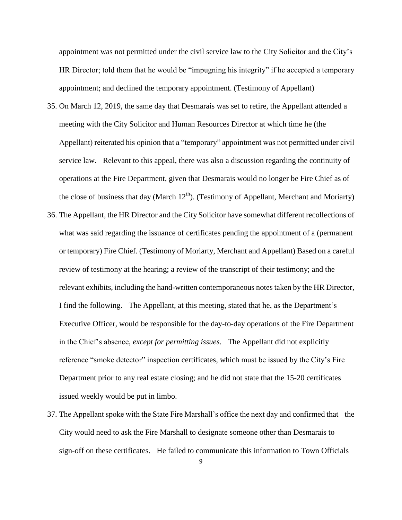appointment was not permitted under the civil service law to the City Solicitor and the City's HR Director; told them that he would be "impugning his integrity" if he accepted a temporary appointment; and declined the temporary appointment. (Testimony of Appellant)

- 35. On March 12, 2019, the same day that Desmarais was set to retire, the Appellant attended a meeting with the City Solicitor and Human Resources Director at which time he (the Appellant) reiterated his opinion that a "temporary" appointment was not permitted under civil service law. Relevant to this appeal, there was also a discussion regarding the continuity of operations at the Fire Department, given that Desmarais would no longer be Fire Chief as of the close of business that day (March  $12<sup>th</sup>$ ). (Testimony of Appellant, Merchant and Moriarty)
- 36. The Appellant, the HR Director and the City Solicitor have somewhat different recollections of what was said regarding the issuance of certificates pending the appointment of a (permanent or temporary) Fire Chief. (Testimony of Moriarty, Merchant and Appellant) Based on a careful review of testimony at the hearing; a review of the transcript of their testimony; and the relevant exhibits, including the hand-written contemporaneous notes taken by the HR Director, I find the following. The Appellant, at this meeting, stated that he, as the Department's Executive Officer, would be responsible for the day-to-day operations of the Fire Department in the Chief's absence, *except for permitting issues*. The Appellant did not explicitly reference "smoke detector" inspection certificates, which must be issued by the City's Fire Department prior to any real estate closing; and he did not state that the 15-20 certificates issued weekly would be put in limbo.
- 37. The Appellant spoke with the State Fire Marshall's office the next day and confirmed that the City would need to ask the Fire Marshall to designate someone other than Desmarais to sign-off on these certificates. He failed to communicate this information to Town Officials

9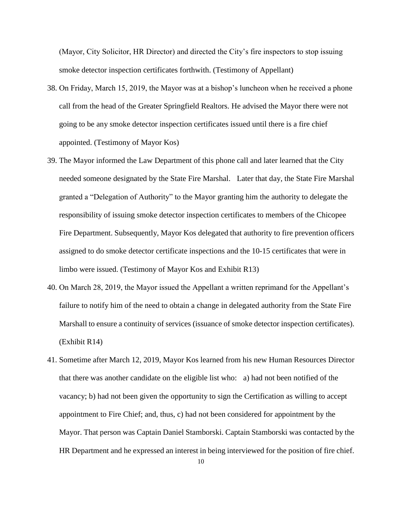(Mayor, City Solicitor, HR Director) and directed the City's fire inspectors to stop issuing smoke detector inspection certificates forthwith. (Testimony of Appellant)

- 38. On Friday, March 15, 2019, the Mayor was at a bishop's luncheon when he received a phone call from the head of the Greater Springfield Realtors. He advised the Mayor there were not going to be any smoke detector inspection certificates issued until there is a fire chief appointed. (Testimony of Mayor Kos)
- 39. The Mayor informed the Law Department of this phone call and later learned that the City needed someone designated by the State Fire Marshal. Later that day, the State Fire Marshal granted a "Delegation of Authority" to the Mayor granting him the authority to delegate the responsibility of issuing smoke detector inspection certificates to members of the Chicopee Fire Department. Subsequently, Mayor Kos delegated that authority to fire prevention officers assigned to do smoke detector certificate inspections and the 10-15 certificates that were in limbo were issued. (Testimony of Mayor Kos and Exhibit R13)
- 40. On March 28, 2019, the Mayor issued the Appellant a written reprimand for the Appellant's failure to notify him of the need to obtain a change in delegated authority from the State Fire Marshall to ensure a continuity of services (issuance of smoke detector inspection certificates). (Exhibit R14)
- 41. Sometime after March 12, 2019, Mayor Kos learned from his new Human Resources Director that there was another candidate on the eligible list who: a) had not been notified of the vacancy; b) had not been given the opportunity to sign the Certification as willing to accept appointment to Fire Chief; and, thus, c) had not been considered for appointment by the Mayor. That person was Captain Daniel Stamborski. Captain Stamborski was contacted by the HR Department and he expressed an interest in being interviewed for the position of fire chief.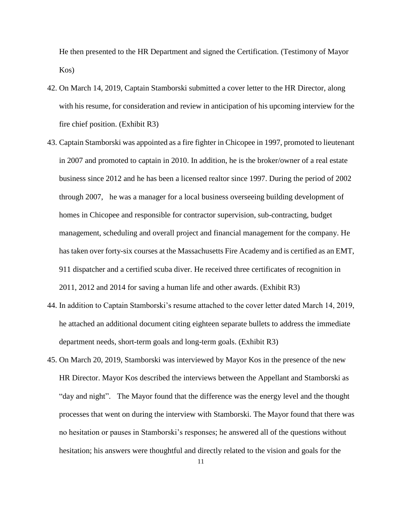He then presented to the HR Department and signed the Certification. (Testimony of Mayor Kos)

- 42. On March 14, 2019, Captain Stamborski submitted a cover letter to the HR Director, along with his resume, for consideration and review in anticipation of his upcoming interview for the fire chief position. (Exhibit R3)
- 43. Captain Stamborski was appointed as a fire fighter in Chicopee in 1997, promoted to lieutenant in 2007 and promoted to captain in 2010. In addition, he is the broker/owner of a real estate business since 2012 and he has been a licensed realtor since 1997. During the period of 2002 through 2007, he was a manager for a local business overseeing building development of homes in Chicopee and responsible for contractor supervision, sub-contracting, budget management, scheduling and overall project and financial management for the company. He has taken over forty-six courses at the Massachusetts Fire Academy and is certified as an EMT, 911 dispatcher and a certified scuba diver. He received three certificates of recognition in 2011, 2012 and 2014 for saving a human life and other awards. (Exhibit R3)
- 44. In addition to Captain Stamborski's resume attached to the cover letter dated March 14, 2019, he attached an additional document citing eighteen separate bullets to address the immediate department needs, short-term goals and long-term goals. (Exhibit R3)
- 45. On March 20, 2019, Stamborski was interviewed by Mayor Kos in the presence of the new HR Director. Mayor Kos described the interviews between the Appellant and Stamborski as "day and night". The Mayor found that the difference was the energy level and the thought processes that went on during the interview with Stamborski. The Mayor found that there was no hesitation or pauses in Stamborski's responses; he answered all of the questions without hesitation; his answers were thoughtful and directly related to the vision and goals for the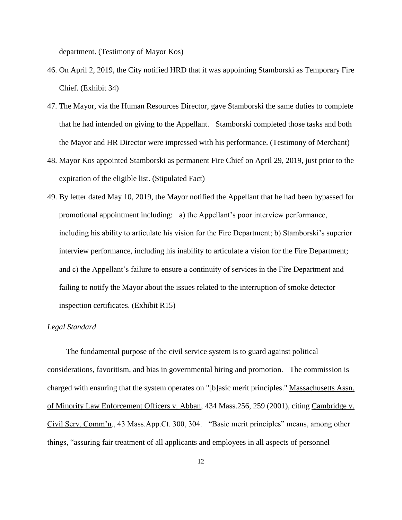department. (Testimony of Mayor Kos)

- 46. On April 2, 2019, the City notified HRD that it was appointing Stamborski as Temporary Fire Chief. (Exhibit 34)
- 47. The Mayor, via the Human Resources Director, gave Stamborski the same duties to complete that he had intended on giving to the Appellant. Stamborski completed those tasks and both the Mayor and HR Director were impressed with his performance. (Testimony of Merchant)
- 48. Mayor Kos appointed Stamborski as permanent Fire Chief on April 29, 2019, just prior to the expiration of the eligible list. (Stipulated Fact)
- 49. By letter dated May 10, 2019, the Mayor notified the Appellant that he had been bypassed for promotional appointment including: a) the Appellant's poor interview performance, including his ability to articulate his vision for the Fire Department; b) Stamborski's superior interview performance, including his inability to articulate a vision for the Fire Department; and c) the Appellant's failure to ensure a continuity of services in the Fire Department and failing to notify the Mayor about the issues related to the interruption of smoke detector inspection certificates. (Exhibit R15)

#### *Legal Standard*

 The fundamental purpose of the civil service system is to guard against political considerations, favoritism, and bias in governmental hiring and promotion. The commission is charged with ensuring that the system operates on "[b]asic merit principles." Massachusetts Assn. of Minority Law Enforcement Officers v. Abban, 434 Mass.256, 259 (2001), citing Cambridge v. Civil Serv. Comm'n., 43 Mass.App.Ct. 300, 304. "Basic merit principles" means, among other things, "assuring fair treatment of all applicants and employees in all aspects of personnel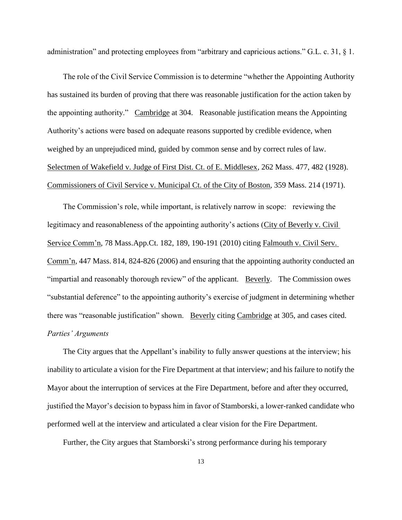administration" and protecting employees from "arbitrary and capricious actions." G.L. c. 31, § 1.

 The role of the Civil Service Commission is to determine "whether the Appointing Authority has sustained its burden of proving that there was reasonable justification for the action taken by the appointing authority." Cambridge at 304. Reasonable justification means the Appointing Authority's actions were based on adequate reasons supported by credible evidence, when weighed by an unprejudiced mind, guided by common sense and by correct rules of law. Selectmen of Wakefield v. Judge of First Dist. Ct. of E. Middlesex, 262 Mass. 477, 482 (1928). Commissioners of Civil Service v. Municipal Ct. of the City of Boston, 359 Mass. 214 (1971).

 The Commission's role, while important, is relatively narrow in scope: reviewing the legitimacy and reasonableness of the appointing authority's actions (City of Beverly v. Civil Service Comm'n, 78 Mass.App.Ct. 182, 189, 190-191 (2010) citing Falmouth v. Civil Serv. Comm'n, 447 Mass. 814, 824-826 (2006) and ensuring that the appointing authority conducted an "impartial and reasonably thorough review" of the applicant. Beverly. The Commission owes "substantial deference" to the appointing authority's exercise of judgment in determining whether there was "reasonable justification" shown. Beverly citing Cambridge at 305, and cases cited. *Parties' Arguments*

 The City argues that the Appellant's inability to fully answer questions at the interview; his inability to articulate a vision for the Fire Department at that interview; and his failure to notify the Mayor about the interruption of services at the Fire Department, before and after they occurred, justified the Mayor's decision to bypass him in favor of Stamborski, a lower-ranked candidate who performed well at the interview and articulated a clear vision for the Fire Department.

Further, the City argues that Stamborski's strong performance during his temporary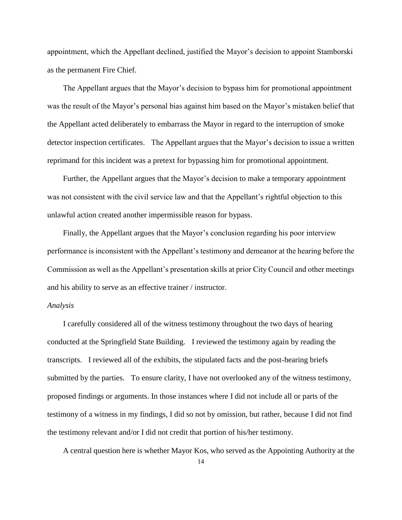appointment, which the Appellant declined, justified the Mayor's decision to appoint Stamborski as the permanent Fire Chief.

 The Appellant argues that the Mayor's decision to bypass him for promotional appointment was the result of the Mayor's personal bias against him based on the Mayor's mistaken belief that the Appellant acted deliberately to embarrass the Mayor in regard to the interruption of smoke detector inspection certificates. The Appellant argues that the Mayor's decision to issue a written reprimand for this incident was a pretext for bypassing him for promotional appointment.

 Further, the Appellant argues that the Mayor's decision to make a temporary appointment was not consistent with the civil service law and that the Appellant's rightful objection to this unlawful action created another impermissible reason for bypass.

 Finally, the Appellant argues that the Mayor's conclusion regarding his poor interview performance is inconsistent with the Appellant's testimony and demeanor at the hearing before the Commission as well as the Appellant's presentation skills at prior City Council and other meetings and his ability to serve as an effective trainer / instructor.

### *Analysis*

 I carefully considered all of the witness testimony throughout the two days of hearing conducted at the Springfield State Building. I reviewed the testimony again by reading the transcripts. I reviewed all of the exhibits, the stipulated facts and the post-hearing briefs submitted by the parties. To ensure clarity, I have not overlooked any of the witness testimony, proposed findings or arguments. In those instances where I did not include all or parts of the testimony of a witness in my findings, I did so not by omission, but rather, because I did not find the testimony relevant and/or I did not credit that portion of his/her testimony.

A central question here is whether Mayor Kos, who served as the Appointing Authority at the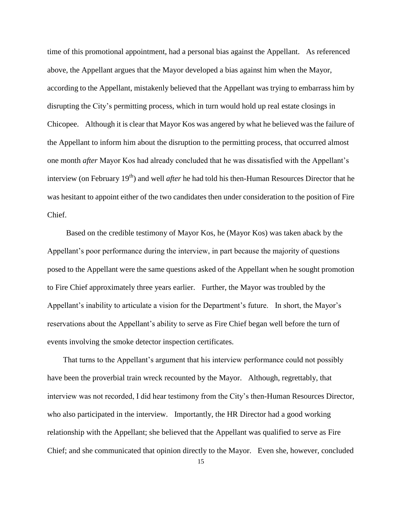time of this promotional appointment, had a personal bias against the Appellant. As referenced above, the Appellant argues that the Mayor developed a bias against him when the Mayor, according to the Appellant, mistakenly believed that the Appellant was trying to embarrass him by disrupting the City's permitting process, which in turn would hold up real estate closings in Chicopee. Although it is clear that Mayor Kos was angered by what he believed was the failure of the Appellant to inform him about the disruption to the permitting process, that occurred almost one month *after* Mayor Kos had already concluded that he was dissatisfied with the Appellant's interview (on February 19<sup>th</sup>) and well *after* he had told his then-Human Resources Director that he was hesitant to appoint either of the two candidates then under consideration to the position of Fire Chief.

 Based on the credible testimony of Mayor Kos, he (Mayor Kos) was taken aback by the Appellant's poor performance during the interview, in part because the majority of questions posed to the Appellant were the same questions asked of the Appellant when he sought promotion to Fire Chief approximately three years earlier. Further, the Mayor was troubled by the Appellant's inability to articulate a vision for the Department's future. In short, the Mayor's reservations about the Appellant's ability to serve as Fire Chief began well before the turn of events involving the smoke detector inspection certificates.

 That turns to the Appellant's argument that his interview performance could not possibly have been the proverbial train wreck recounted by the Mayor. Although, regrettably, that interview was not recorded, I did hear testimony from the City's then-Human Resources Director, who also participated in the interview. Importantly, the HR Director had a good working relationship with the Appellant; she believed that the Appellant was qualified to serve as Fire Chief; and she communicated that opinion directly to the Mayor. Even she, however, concluded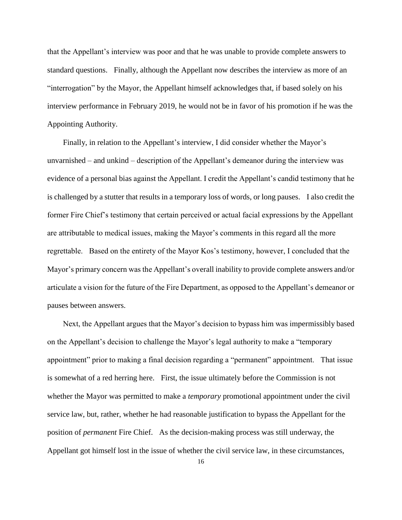that the Appellant's interview was poor and that he was unable to provide complete answers to standard questions. Finally, although the Appellant now describes the interview as more of an "interrogation" by the Mayor, the Appellant himself acknowledges that, if based solely on his interview performance in February 2019, he would not be in favor of his promotion if he was the Appointing Authority.

 Finally, in relation to the Appellant's interview, I did consider whether the Mayor's unvarnished – and unkind – description of the Appellant's demeanor during the interview was evidence of a personal bias against the Appellant. I credit the Appellant's candid testimony that he is challenged by a stutter that results in a temporary loss of words, or long pauses. I also credit the former Fire Chief's testimony that certain perceived or actual facial expressions by the Appellant are attributable to medical issues, making the Mayor's comments in this regard all the more regrettable. Based on the entirety of the Mayor Kos's testimony, however, I concluded that the Mayor's primary concern was the Appellant's overall inability to provide complete answers and/or articulate a vision for the future of the Fire Department, as opposed to the Appellant's demeanor or pauses between answers.

 Next, the Appellant argues that the Mayor's decision to bypass him was impermissibly based on the Appellant's decision to challenge the Mayor's legal authority to make a "temporary appointment" prior to making a final decision regarding a "permanent" appointment. That issue is somewhat of a red herring here. First, the issue ultimately before the Commission is not whether the Mayor was permitted to make a *temporary* promotional appointment under the civil service law, but, rather, whether he had reasonable justification to bypass the Appellant for the position of *permanent* Fire Chief. As the decision-making process was still underway, the Appellant got himself lost in the issue of whether the civil service law, in these circumstances,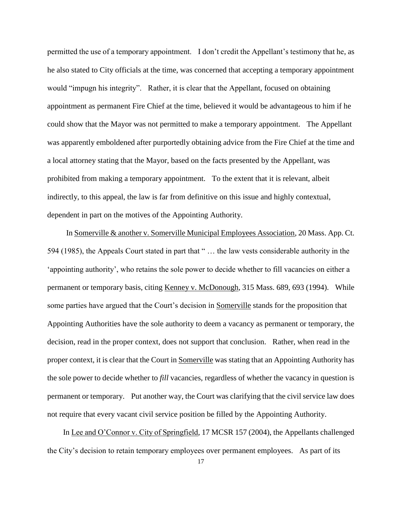permitted the use of a temporary appointment. I don't credit the Appellant's testimony that he, as he also stated to City officials at the time, was concerned that accepting a temporary appointment would "impugn his integrity". Rather, it is clear that the Appellant, focused on obtaining appointment as permanent Fire Chief at the time, believed it would be advantageous to him if he could show that the Mayor was not permitted to make a temporary appointment. The Appellant was apparently emboldened after purportedly obtaining advice from the Fire Chief at the time and a local attorney stating that the Mayor, based on the facts presented by the Appellant, was prohibited from making a temporary appointment. To the extent that it is relevant, albeit indirectly, to this appeal, the law is far from definitive on this issue and highly contextual, dependent in part on the motives of the Appointing Authority.

 In Somerville & another v. Somerville Municipal Employees Association, 20 Mass. App. Ct. 594 (1985), the Appeals Court stated in part that " … the law vests considerable authority in the 'appointing authority', who retains the sole power to decide whether to fill vacancies on either a permanent or temporary basis, citing Kenney v. McDonough, 315 Mass. 689, 693 (1994). While some parties have argued that the Court's decision in Somerville stands for the proposition that Appointing Authorities have the sole authority to deem a vacancy as permanent or temporary, the decision, read in the proper context, does not support that conclusion. Rather, when read in the proper context, it is clear that the Court in Somerville was stating that an Appointing Authority has the sole power to decide whether to *fill* vacancies, regardless of whether the vacancy in question is permanent or temporary. Put another way, the Court was clarifying that the civil service law does not require that every vacant civil service position be filled by the Appointing Authority.

 In Lee and O'Connor v. City of Springfield, 17 MCSR 157 (2004), the Appellants challenged the City's decision to retain temporary employees over permanent employees. As part of its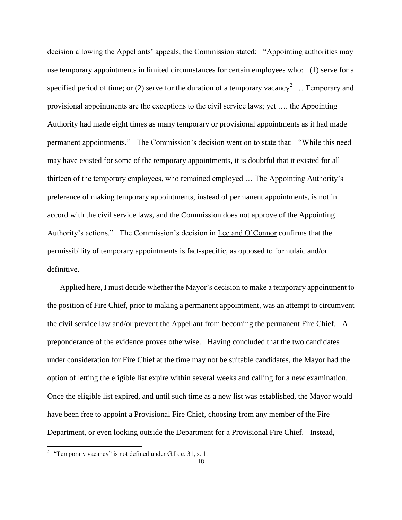decision allowing the Appellants' appeals, the Commission stated: "Appointing authorities may use temporary appointments in limited circumstances for certain employees who: (1) serve for a specified period of time; or (2) serve for the duration of a temporary vacancy<sup>2</sup> ... Temporary and provisional appointments are the exceptions to the civil service laws; yet …. the Appointing Authority had made eight times as many temporary or provisional appointments as it had made permanent appointments." The Commission's decision went on to state that: "While this need may have existed for some of the temporary appointments, it is doubtful that it existed for all thirteen of the temporary employees, who remained employed … The Appointing Authority's preference of making temporary appointments, instead of permanent appointments, is not in accord with the civil service laws, and the Commission does not approve of the Appointing Authority's actions." The Commission's decision in Lee and O'Connor confirms that the permissibility of temporary appointments is fact-specific, as opposed to formulaic and/or definitive.

 Applied here, I must decide whether the Mayor's decision to make a temporary appointment to the position of Fire Chief, prior to making a permanent appointment, was an attempt to circumvent the civil service law and/or prevent the Appellant from becoming the permanent Fire Chief. A preponderance of the evidence proves otherwise. Having concluded that the two candidates under consideration for Fire Chief at the time may not be suitable candidates, the Mayor had the option of letting the eligible list expire within several weeks and calling for a new examination. Once the eligible list expired, and until such time as a new list was established, the Mayor would have been free to appoint a Provisional Fire Chief, choosing from any member of the Fire Department, or even looking outside the Department for a Provisional Fire Chief. Instead,

÷,

<sup>&</sup>lt;sup>2</sup> "Temporary vacancy" is not defined under G.L. c. 31, s. 1.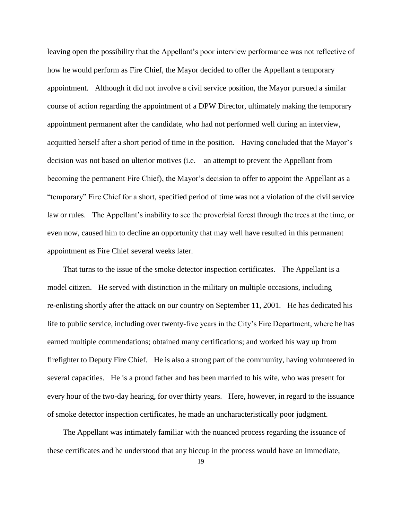leaving open the possibility that the Appellant's poor interview performance was not reflective of how he would perform as Fire Chief, the Mayor decided to offer the Appellant a temporary appointment. Although it did not involve a civil service position, the Mayor pursued a similar course of action regarding the appointment of a DPW Director, ultimately making the temporary appointment permanent after the candidate, who had not performed well during an interview, acquitted herself after a short period of time in the position. Having concluded that the Mayor's decision was not based on ulterior motives (i.e. – an attempt to prevent the Appellant from becoming the permanent Fire Chief), the Mayor's decision to offer to appoint the Appellant as a "temporary" Fire Chief for a short, specified period of time was not a violation of the civil service law or rules. The Appellant's inability to see the proverbial forest through the trees at the time, or even now, caused him to decline an opportunity that may well have resulted in this permanent appointment as Fire Chief several weeks later.

 That turns to the issue of the smoke detector inspection certificates. The Appellant is a model citizen. He served with distinction in the military on multiple occasions, including re-enlisting shortly after the attack on our country on September 11, 2001. He has dedicated his life to public service, including over twenty-five years in the City's Fire Department, where he has earned multiple commendations; obtained many certifications; and worked his way up from firefighter to Deputy Fire Chief. He is also a strong part of the community, having volunteered in several capacities. He is a proud father and has been married to his wife, who was present for every hour of the two-day hearing, for over thirty years. Here, however, in regard to the issuance of smoke detector inspection certificates, he made an uncharacteristically poor judgment.

 The Appellant was intimately familiar with the nuanced process regarding the issuance of these certificates and he understood that any hiccup in the process would have an immediate,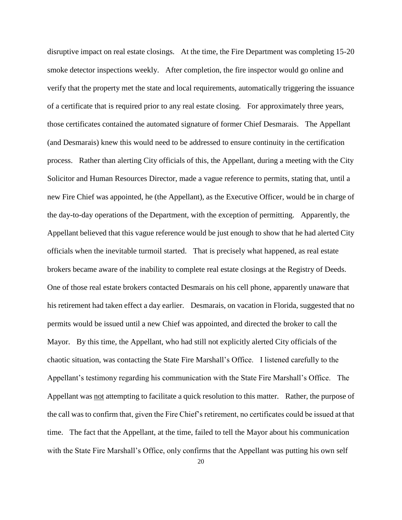disruptive impact on real estate closings. At the time, the Fire Department was completing 15-20 smoke detector inspections weekly. After completion, the fire inspector would go online and verify that the property met the state and local requirements, automatically triggering the issuance of a certificate that is required prior to any real estate closing. For approximately three years, those certificates contained the automated signature of former Chief Desmarais. The Appellant (and Desmarais) knew this would need to be addressed to ensure continuity in the certification process. Rather than alerting City officials of this, the Appellant, during a meeting with the City Solicitor and Human Resources Director, made a vague reference to permits, stating that, until a new Fire Chief was appointed, he (the Appellant), as the Executive Officer, would be in charge of the day-to-day operations of the Department, with the exception of permitting. Apparently, the Appellant believed that this vague reference would be just enough to show that he had alerted City officials when the inevitable turmoil started. That is precisely what happened, as real estate brokers became aware of the inability to complete real estate closings at the Registry of Deeds. One of those real estate brokers contacted Desmarais on his cell phone, apparently unaware that his retirement had taken effect a day earlier. Desmarais, on vacation in Florida, suggested that no permits would be issued until a new Chief was appointed, and directed the broker to call the Mayor. By this time, the Appellant, who had still not explicitly alerted City officials of the chaotic situation, was contacting the State Fire Marshall's Office. I listened carefully to the Appellant's testimony regarding his communication with the State Fire Marshall's Office. The Appellant was not attempting to facilitate a quick resolution to this matter. Rather, the purpose of the call was to confirm that, given the Fire Chief's retirement, no certificates could be issued at that time. The fact that the Appellant, at the time, failed to tell the Mayor about his communication with the State Fire Marshall's Office, only confirms that the Appellant was putting his own self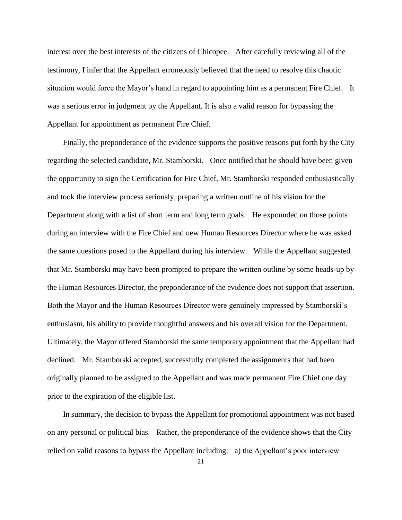interest over the best interests of the citizens of Chicopee. After carefully reviewing all of the testimony, I infer that the Appellant erroneously believed that the need to resolve this chaotic situation would force the Mayor's hand in regard to appointing him as a permanent Fire Chief. It was a serious error in judgment by the Appellant. It is also a valid reason for bypassing the Appellant for appointment as permanent Fire Chief.

 Finally, the preponderance of the evidence supports the positive reasons put forth by the City regarding the selected candidate, Mr. Stamborski. Once notified that he should have been given the opportunity to sign the Certification for Fire Chief, Mr. Stamborski responded enthusiastically and took the interview process seriously, preparing a written outline of his vision for the Department along with a list of short term and long term goals. He expounded on those points during an interview with the Fire Chief and new Human Resources Director where he was asked the same questions posed to the Appellant during his interview. While the Appellant suggested that Mr. Stamborski may have been prompted to prepare the written outline by some heads-up by the Human Resources Director, the preponderance of the evidence does not support that assertion. Both the Mayor and the Human Resources Director were genuinely impressed by Stamborski's enthusiasm, his ability to provide thoughtful answers and his overall vision for the Department. Ultimately, the Mayor offered Stamborski the same temporary appointment that the Appellant had declined. Mr. Stamborski accepted, successfully completed the assignments that had been originally planned to be assigned to the Appellant and was made permanent Fire Chief one day prior to the expiration of the eligible list.

 In summary, the decision to bypass the Appellant for promotional appointment was not based on any personal or political bias. Rather, the preponderance of the evidence shows that the City relied on valid reasons to bypass the Appellant including: a) the Appellant's poor interview